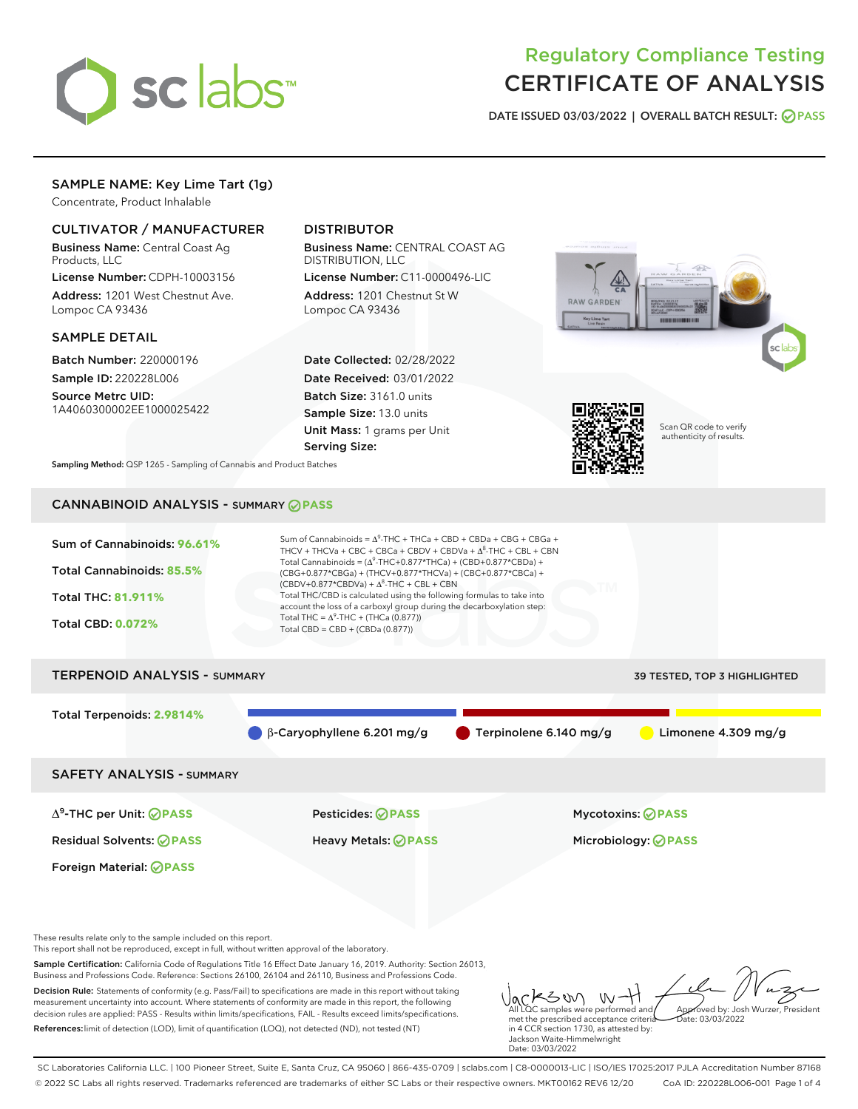

# Regulatory Compliance Testing CERTIFICATE OF ANALYSIS

DATE ISSUED 03/03/2022 | OVERALL BATCH RESULT: @ PASS

# SAMPLE NAME: Key Lime Tart (1g)

Concentrate, Product Inhalable

## CULTIVATOR / MANUFACTURER

Business Name: Central Coast Ag Products, LLC

License Number: CDPH-10003156 Address: 1201 West Chestnut Ave. Lompoc CA 93436

#### SAMPLE DETAIL

Batch Number: 220000196 Sample ID: 220228L006

Source Metrc UID: 1A4060300002EE1000025422

# DISTRIBUTOR

Business Name: CENTRAL COAST AG DISTRIBUTION, LLC

License Number: C11-0000496-LIC Address: 1201 Chestnut St W Lompoc CA 93436

Date Collected: 02/28/2022 Date Received: 03/01/2022 Batch Size: 3161.0 units Sample Size: 13.0 units Unit Mass: 1 grams per Unit Serving Size:





Scan QR code to verify authenticity of results.

Sampling Method: QSP 1265 - Sampling of Cannabis and Product Batches

# CANNABINOID ANALYSIS - SUMMARY **PASS**



Foreign Material: **PASS**

These results relate only to the sample included on this report. This report shall not be reproduced, except in full, without written approval of the laboratory.

Sample Certification: California Code of Regulations Title 16 Effect Date January 16, 2019. Authority: Section 26013, Business and Professions Code. Reference: Sections 26100, 26104 and 26110, Business and Professions Code.

Decision Rule: Statements of conformity (e.g. Pass/Fail) to specifications are made in this report without taking measurement uncertainty into account. Where statements of conformity are made in this report, the following decision rules are applied: PASS - Results within limits/specifications, FAIL - Results exceed limits/specifications. References:limit of detection (LOD), limit of quantification (LOQ), not detected (ND), not tested (NT)

KSW - W All LQC samples were performed and Approved by: Josh Wurzer, President met the prescribed acceptance criteria  $hat: 03/03/2022$ in 4 CCR section 1730, as attested by: Jackson Waite-Himmelwright

Date: 03/03/2022

SC Laboratories California LLC. | 100 Pioneer Street, Suite E, Santa Cruz, CA 95060 | 866-435-0709 | sclabs.com | C8-0000013-LIC | ISO/IES 17025:2017 PJLA Accreditation Number 87168 © 2022 SC Labs all rights reserved. Trademarks referenced are trademarks of either SC Labs or their respective owners. MKT00162 REV6 12/20 CoA ID: 220228L006-001 Page 1 of 4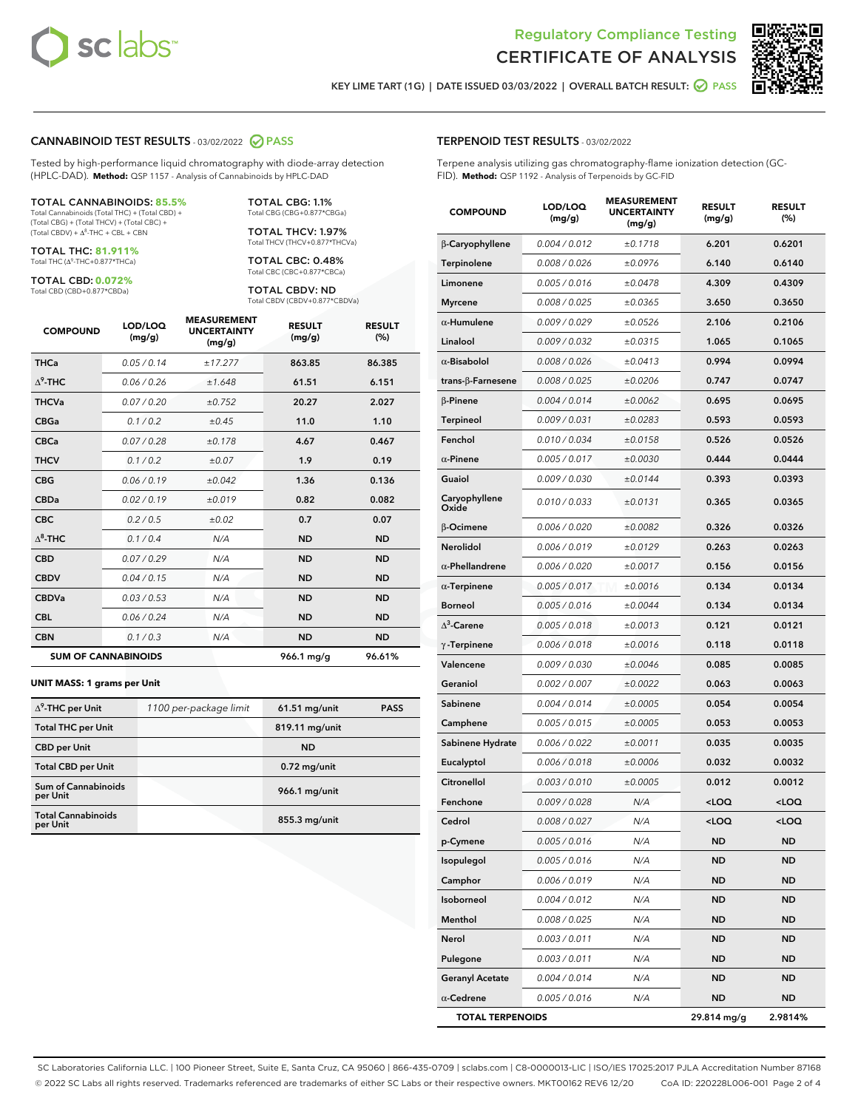



KEY LIME TART (1G) | DATE ISSUED 03/03/2022 | OVERALL BATCH RESULT:  $\bigcirc$  PASS

#### CANNABINOID TEST RESULTS - 03/02/2022 2 PASS

Tested by high-performance liquid chromatography with diode-array detection (HPLC-DAD). **Method:** QSP 1157 - Analysis of Cannabinoids by HPLC-DAD

#### TOTAL CANNABINOIDS: **85.5%**

Total Cannabinoids (Total THC) + (Total CBD) + (Total CBG) + (Total THCV) + (Total CBC) +  $(Total CBDV) +  $\Delta^8$ -THC + CBL + CBN$ 

TOTAL THC: **81.911%** Total THC (Δ<sup>9</sup>-THC+0.877\*THCa)

TOTAL CBD: **0.072%**

Total CBD (CBD+0.877\*CBDa)

TOTAL CBG: 1.1% Total CBG (CBG+0.877\*CBGa)

TOTAL THCV: 1.97% Total THCV (THCV+0.877\*THCVa)

TOTAL CBC: 0.48% Total CBC (CBC+0.877\*CBCa)

TOTAL CBDV: ND Total CBDV (CBDV+0.877\*CBDVa)

| <b>COMPOUND</b>  | LOD/LOQ<br>(mg/g)          | <b>MEASUREMENT</b><br><b>UNCERTAINTY</b><br>(mg/g) | <b>RESULT</b><br>(mg/g) | <b>RESULT</b><br>(%) |
|------------------|----------------------------|----------------------------------------------------|-------------------------|----------------------|
| <b>THCa</b>      | 0.05/0.14                  | ±17.277                                            | 863.85                  | 86.385               |
| $\Lambda^9$ -THC | 0.06 / 0.26                | ±1.648                                             | 61.51                   | 6.151                |
| <b>THCVa</b>     | 0.07/0.20                  | ±0.752                                             | 20.27                   | 2.027                |
| <b>CBGa</b>      | 0.1/0.2                    | $\pm 0.45$                                         | 11.0                    | 1.10                 |
| <b>CBCa</b>      | 0.07 / 0.28                | ±0.178                                             | 4.67                    | 0.467                |
| <b>THCV</b>      | 0.1 / 0.2                  | $\pm 0.07$                                         | 1.9                     | 0.19                 |
| <b>CBG</b>       | 0.06/0.19                  | ±0.042                                             | 1.36                    | 0.136                |
| <b>CBDa</b>      | 0.02/0.19                  | ±0.019                                             | 0.82                    | 0.082                |
| <b>CBC</b>       | 0.2 / 0.5                  | ±0.02                                              | 0.7                     | 0.07                 |
| $\Lambda^8$ -THC | 0.1/0.4                    | N/A                                                | <b>ND</b>               | <b>ND</b>            |
| <b>CBD</b>       | 0.07/0.29                  | N/A                                                | <b>ND</b>               | <b>ND</b>            |
| <b>CBDV</b>      | 0.04 / 0.15                | N/A                                                | <b>ND</b>               | <b>ND</b>            |
| <b>CBDVa</b>     | 0.03 / 0.53                | N/A                                                | <b>ND</b>               | <b>ND</b>            |
| <b>CBL</b>       | 0.06 / 0.24                | N/A                                                | <b>ND</b>               | <b>ND</b>            |
| <b>CBN</b>       | 0.1 / 0.3                  | N/A                                                | <b>ND</b>               | <b>ND</b>            |
|                  | <b>SUM OF CANNABINOIDS</b> |                                                    | 966.1 mg/g              | 96.61%               |

#### **UNIT MASS: 1 grams per Unit**

| $\Delta^9$ -THC per Unit              | 1100 per-package limit | $61.51$ mg/unit | <b>PASS</b> |
|---------------------------------------|------------------------|-----------------|-------------|
| <b>Total THC per Unit</b>             |                        | 819.11 mg/unit  |             |
| <b>CBD per Unit</b>                   |                        | <b>ND</b>       |             |
| <b>Total CBD per Unit</b>             |                        | $0.72$ mg/unit  |             |
| Sum of Cannabinoids<br>per Unit       |                        | $966.1$ mg/unit |             |
| <b>Total Cannabinoids</b><br>per Unit |                        | $855.3$ mg/unit |             |

| <b>COMPOUND</b>        | <b>LOD/LOQ</b><br>(mg/g) | <b>UNCERTAINTY</b><br>(mg/g) | <b>RESULT</b><br>(mg/g)                          | <b>RESULT</b><br>$(\%)$ |
|------------------------|--------------------------|------------------------------|--------------------------------------------------|-------------------------|
| β-Caryophyllene        | 0.004 / 0.012            | ±0.1718                      | 6.201                                            | 0.6201                  |
| Terpinolene            | 0.008 / 0.026            | ±0.0976                      | 6.140                                            | 0.6140                  |
| Limonene               | 0.005 / 0.016            | ±0.0478                      | 4.309                                            | 0.4309                  |
| Myrcene                | 0.008 / 0.025            | ±0.0365                      | 3.650                                            | 0.3650                  |
| $\alpha$ -Humulene     | 0.009/0.029              | ±0.0526                      | 2.106                                            | 0.2106                  |
| Linalool               | 0.009 / 0.032            | ±0.0315                      | 1.065                                            | 0.1065                  |
| $\alpha$ -Bisabolol    | 0.008 / 0.026            | ±0.0413                      | 0.994                                            | 0.0994                  |
| trans-β-Farnesene      | 0.008 / 0.025            | ±0.0206                      | 0.747                                            | 0.0747                  |
| $\beta$ -Pinene        | 0.004 / 0.014            | ±0.0062                      | 0.695                                            | 0.0695                  |
| Terpineol              | 0.009 / 0.031            | ±0.0283                      | 0.593                                            | 0.0593                  |
| Fenchol                | 0.010 / 0.034            | ±0.0158                      | 0.526                                            | 0.0526                  |
| $\alpha$ -Pinene       | 0.005 / 0.017            | ±0.0030                      | 0.444                                            | 0.0444                  |
| Guaiol                 | 0.009 / 0.030            | ±0.0144                      | 0.393                                            | 0.0393                  |
| Caryophyllene<br>Oxide | 0.010 / 0.033            | ±0.0131                      | 0.365                                            | 0.0365                  |
| $\beta$ -Ocimene       | 0.006 / 0.020            | ±0.0082                      | 0.326                                            | 0.0326                  |
| Nerolidol              | 0.006 / 0.019            | ±0.0129                      | 0.263                                            | 0.0263                  |
| $\alpha$ -Phellandrene | 0.006 / 0.020            | ±0.0017                      | 0.156                                            | 0.0156                  |
| $\alpha$ -Terpinene    | 0.005 / 0.017            | ±0.0016                      | 0.134                                            | 0.0134                  |
| Borneol                | 0.005/0.016              | ±0.0044                      | 0.134                                            | 0.0134                  |
| $\Delta^3$ -Carene     | 0.005 / 0.018            | ±0.0013                      | 0.121                                            | 0.0121                  |
| $\gamma$ -Terpinene    | 0.006 / 0.018            | ±0.0016                      | 0.118                                            | 0.0118                  |
| Valencene              | 0.009 / 0.030            | ±0.0046                      | 0.085                                            | 0.0085                  |
| Geraniol               | 0.002 / 0.007            | ±0.0022                      | 0.063                                            | 0.0063                  |
| Sabinene               | 0.004 / 0.014            | ±0.0005                      | 0.054                                            | 0.0054                  |
| Camphene               | 0.005 / 0.015            | ±0.0005                      | 0.053                                            | 0.0053                  |
| Sabinene Hydrate       | 0.006 / 0.022            | ±0.0011                      | 0.035                                            | 0.0035                  |
| Eucalyptol             | 0.006 / 0.018            | ±0.0006                      | 0.032                                            | 0.0032                  |
| Citronellol            | 0.003 / 0.010            | ±0.0005                      | 0.012                                            | 0.0012                  |
| Fenchone               | 0.009 / 0.028            | N/A                          | <loq< th=""><th><loq< th=""></loq<></th></loq<>  | <loq< th=""></loq<>     |
| Cedrol                 | 0.008 / 0.027            | N/A                          | <loq< th=""><th><math>&lt;</math>LOQ</th></loq<> | $<$ LOQ                 |
| p-Cymene               | 0.005 / 0.016            | N/A                          | ND                                               | ND                      |
| Isopulegol             | 0.005 / 0.016            | N/A                          | <b>ND</b>                                        | <b>ND</b>               |
| Camphor                | 0.006 / 0.019            | N/A                          | <b>ND</b>                                        | <b>ND</b>               |
| Isoborneol             | 0.004 / 0.012            | N/A                          | <b>ND</b>                                        | <b>ND</b>               |
| Menthol                | 0.008 / 0.025            | N/A                          | ND                                               | ND                      |
| Nerol                  | 0.003 / 0.011            | N/A                          | <b>ND</b>                                        | ND                      |
| Pulegone               | 0.003 / 0.011            | N/A                          | <b>ND</b>                                        | <b>ND</b>               |
| <b>Geranyl Acetate</b> | 0.004 / 0.014            | N/A                          | ND                                               | ND                      |
| $\alpha$ -Cedrene      | 0.005 / 0.016            | N/A                          | <b>ND</b>                                        | <b>ND</b>               |

TOTAL TERPENOIDS 29.814 mg/g 2.9814%

SC Laboratories California LLC. | 100 Pioneer Street, Suite E, Santa Cruz, CA 95060 | 866-435-0709 | sclabs.com | C8-0000013-LIC | ISO/IES 17025:2017 PJLA Accreditation Number 87168 © 2022 SC Labs all rights reserved. Trademarks referenced are trademarks of either SC Labs or their respective owners. MKT00162 REV6 12/20 CoA ID: 220228L006-001 Page 2 of 4

## TERPENOID TEST RESULTS - 03/02/2022

Terpene analysis utilizing gas chromatography-flame ionization detection (GC-FID). **Method:** QSP 1192 - Analysis of Terpenoids by GC-FID

MEASUREMENT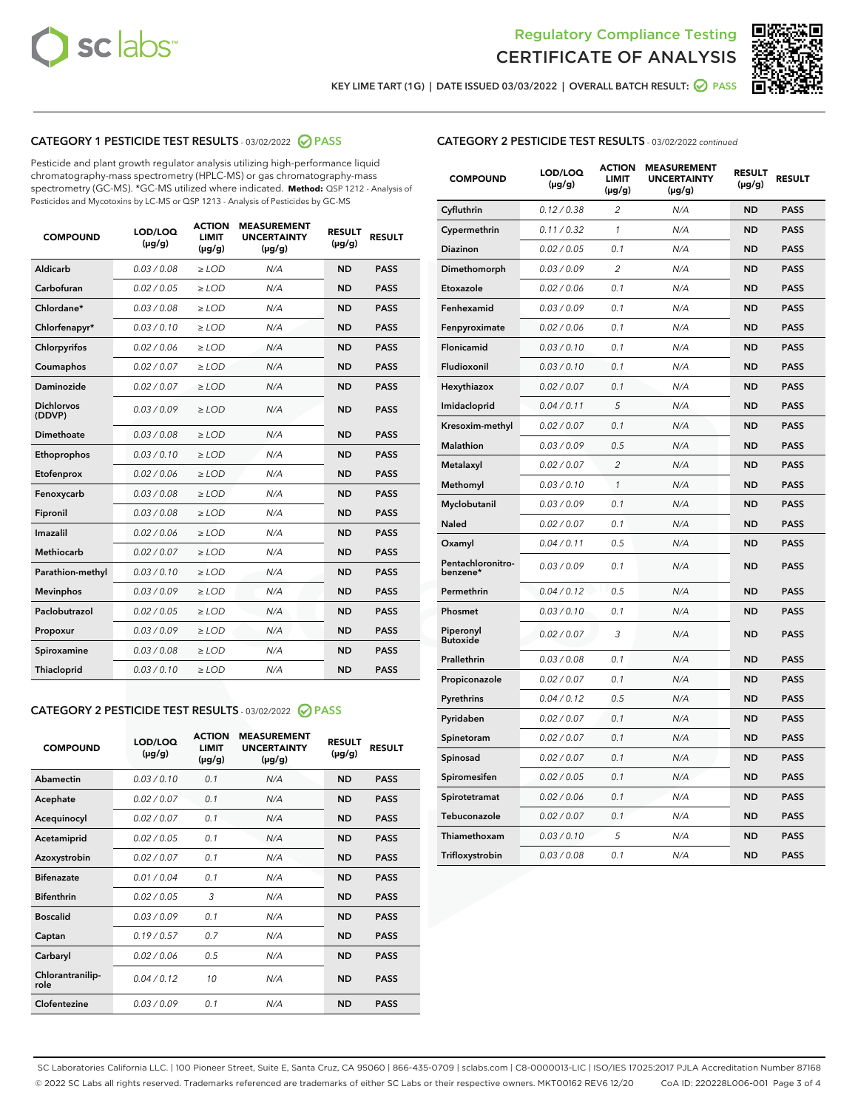



KEY LIME TART (1G) | DATE ISSUED 03/03/2022 | OVERALL BATCH RESULT:  $\bigcirc$  PASS

## CATEGORY 1 PESTICIDE TEST RESULTS - 03/02/2022 2 PASS

Pesticide and plant growth regulator analysis utilizing high-performance liquid chromatography-mass spectrometry (HPLC-MS) or gas chromatography-mass spectrometry (GC-MS). \*GC-MS utilized where indicated. **Method:** QSP 1212 - Analysis of Pesticides and Mycotoxins by LC-MS or QSP 1213 - Analysis of Pesticides by GC-MS

| <b>COMPOUND</b>             | LOD/LOQ<br>$(\mu g/g)$ | <b>ACTION</b><br><b>LIMIT</b><br>$(\mu g/g)$ | <b>MEASUREMENT</b><br><b>UNCERTAINTY</b><br>$(\mu g/g)$ | <b>RESULT</b><br>$(\mu g/g)$ | <b>RESULT</b> |
|-----------------------------|------------------------|----------------------------------------------|---------------------------------------------------------|------------------------------|---------------|
| Aldicarb                    | 0.03 / 0.08            | $\ge$ LOD                                    | N/A                                                     | <b>ND</b>                    | <b>PASS</b>   |
| Carbofuran                  | 0.02 / 0.05            | $\ge$ LOD                                    | N/A                                                     | <b>ND</b>                    | <b>PASS</b>   |
| Chlordane*                  | 0.03 / 0.08            | $\geq$ LOD                                   | N/A                                                     | <b>ND</b>                    | <b>PASS</b>   |
| Chlorfenapyr*               | 0.03/0.10              | $\geq$ LOD                                   | N/A                                                     | <b>ND</b>                    | <b>PASS</b>   |
| Chlorpyrifos                | 0.02/0.06              | $>$ LOD                                      | N/A                                                     | <b>ND</b>                    | <b>PASS</b>   |
| Coumaphos                   | 0.02 / 0.07            | $\ge$ LOD                                    | N/A                                                     | <b>ND</b>                    | <b>PASS</b>   |
| Daminozide                  | 0.02 / 0.07            | $\ge$ LOD                                    | N/A                                                     | <b>ND</b>                    | <b>PASS</b>   |
| <b>Dichlorvos</b><br>(DDVP) | 0.03/0.09              | $>$ LOD                                      | N/A                                                     | <b>ND</b>                    | <b>PASS</b>   |
| <b>Dimethoate</b>           | 0.03 / 0.08            | $\ge$ LOD                                    | N/A                                                     | <b>ND</b>                    | <b>PASS</b>   |
| Ethoprophos                 | 0.03/0.10              | $\ge$ LOD                                    | N/A                                                     | <b>ND</b>                    | <b>PASS</b>   |
| Etofenprox                  | 0.02 / 0.06            | $\ge$ LOD                                    | N/A                                                     | <b>ND</b>                    | <b>PASS</b>   |
| Fenoxycarb                  | 0.03 / 0.08            | $>$ LOD                                      | N/A                                                     | <b>ND</b>                    | <b>PASS</b>   |
| Fipronil                    | 0.03 / 0.08            | $>$ LOD                                      | N/A                                                     | <b>ND</b>                    | <b>PASS</b>   |
| Imazalil                    | 0.02 / 0.06            | $>$ LOD                                      | N/A                                                     | <b>ND</b>                    | <b>PASS</b>   |
| <b>Methiocarb</b>           | 0.02 / 0.07            | $\ge$ LOD                                    | N/A                                                     | <b>ND</b>                    | <b>PASS</b>   |
| Parathion-methyl            | 0.03/0.10              | $\geq$ LOD                                   | N/A                                                     | <b>ND</b>                    | <b>PASS</b>   |
| <b>Mevinphos</b>            | 0.03/0.09              | $\ge$ LOD                                    | N/A                                                     | <b>ND</b>                    | <b>PASS</b>   |
| Paclobutrazol               | 0.02 / 0.05            | $\ge$ LOD                                    | N/A                                                     | <b>ND</b>                    | <b>PASS</b>   |
| Propoxur                    | 0.03/0.09              | $>$ LOD                                      | N/A                                                     | <b>ND</b>                    | <b>PASS</b>   |
| Spiroxamine                 | 0.03 / 0.08            | $>$ LOD                                      | N/A                                                     | <b>ND</b>                    | <b>PASS</b>   |
| Thiacloprid                 | 0.03/0.10              | $\geq$ LOD                                   | N/A                                                     | <b>ND</b>                    | <b>PASS</b>   |

## CATEGORY 2 PESTICIDE TEST RESULTS - 03/02/2022 2 PASS

| <b>COMPOUND</b>          | LOD/LOO<br>$(\mu g/g)$ | <b>ACTION</b><br><b>LIMIT</b><br>$(\mu g/g)$ | <b>MEASUREMENT</b><br><b>UNCERTAINTY</b><br>$(\mu g/g)$ | <b>RESULT</b><br>$(\mu g/g)$ | <b>RESULT</b> |
|--------------------------|------------------------|----------------------------------------------|---------------------------------------------------------|------------------------------|---------------|
| Abamectin                | 0.03/0.10              | 0.1                                          | N/A                                                     | <b>ND</b>                    | <b>PASS</b>   |
| Acephate                 | 0.02/0.07              | 0.1                                          | N/A                                                     | <b>ND</b>                    | <b>PASS</b>   |
| Acequinocyl              | 0.02/0.07              | 0.1                                          | N/A                                                     | <b>ND</b>                    | <b>PASS</b>   |
| Acetamiprid              | 0.02/0.05              | 0.1                                          | N/A                                                     | <b>ND</b>                    | <b>PASS</b>   |
| Azoxystrobin             | 0.02 / 0.07            | 0.1                                          | N/A                                                     | <b>ND</b>                    | <b>PASS</b>   |
| <b>Bifenazate</b>        | 0.01/0.04              | 0.1                                          | N/A                                                     | <b>ND</b>                    | <b>PASS</b>   |
| <b>Bifenthrin</b>        | 0.02/0.05              | 3                                            | N/A                                                     | <b>ND</b>                    | <b>PASS</b>   |
| <b>Boscalid</b>          | 0.03/0.09              | 0.1                                          | N/A                                                     | <b>ND</b>                    | <b>PASS</b>   |
| Captan                   | 0.19/0.57              | 0.7                                          | N/A                                                     | <b>ND</b>                    | <b>PASS</b>   |
| Carbaryl                 | 0.02/0.06              | 0.5                                          | N/A                                                     | <b>ND</b>                    | <b>PASS</b>   |
| Chlorantranilip-<br>role | 0.04/0.12              | 10                                           | N/A                                                     | <b>ND</b>                    | <b>PASS</b>   |
| Clofentezine             | 0.03/0.09              | 0.1                                          | N/A                                                     | <b>ND</b>                    | <b>PASS</b>   |

## CATEGORY 2 PESTICIDE TEST RESULTS - 03/02/2022 continued

| <b>COMPOUND</b>               | LOD/LOQ<br>(µg/g) | <b>ACTION</b><br><b>LIMIT</b><br>$(\mu g/g)$ | <b>MEASUREMENT</b><br><b>UNCERTAINTY</b><br>$(\mu g/g)$ | <b>RESULT</b><br>(µg/g) | <b>RESULT</b> |
|-------------------------------|-------------------|----------------------------------------------|---------------------------------------------------------|-------------------------|---------------|
| Cyfluthrin                    | 0.12 / 0.38       | $\overline{c}$                               | N/A                                                     | <b>ND</b>               | <b>PASS</b>   |
| Cypermethrin                  | 0.11/0.32         | 1                                            | N/A                                                     | ND                      | <b>PASS</b>   |
| <b>Diazinon</b>               | 0.02 / 0.05       | 0.1                                          | N/A                                                     | ND                      | <b>PASS</b>   |
| Dimethomorph                  | 0.03 / 0.09       | 2                                            | N/A                                                     | ND                      | <b>PASS</b>   |
| Etoxazole                     | 0.02 / 0.06       | 0.1                                          | N/A                                                     | <b>ND</b>               | <b>PASS</b>   |
| Fenhexamid                    | 0.03 / 0.09       | 0.1                                          | N/A                                                     | <b>ND</b>               | <b>PASS</b>   |
| Fenpyroximate                 | 0.02 / 0.06       | 0.1                                          | N/A                                                     | ND                      | <b>PASS</b>   |
| Flonicamid                    | 0.03 / 0.10       | 0.1                                          | N/A                                                     | ND                      | <b>PASS</b>   |
| Fludioxonil                   | 0.03 / 0.10       | 0.1                                          | N/A                                                     | <b>ND</b>               | <b>PASS</b>   |
| Hexythiazox                   | 0.02 / 0.07       | 0.1                                          | N/A                                                     | ND                      | <b>PASS</b>   |
| Imidacloprid                  | 0.04 / 0.11       | 5                                            | N/A                                                     | ND                      | <b>PASS</b>   |
| Kresoxim-methyl               | 0.02 / 0.07       | 0.1                                          | N/A                                                     | <b>ND</b>               | <b>PASS</b>   |
| <b>Malathion</b>              | 0.03 / 0.09       | 0.5                                          | N/A                                                     | ND                      | <b>PASS</b>   |
| Metalaxyl                     | 0.02 / 0.07       | $\overline{c}$                               | N/A                                                     | ND                      | <b>PASS</b>   |
| Methomyl                      | 0.03 / 0.10       | 1                                            | N/A                                                     | <b>ND</b>               | <b>PASS</b>   |
| Myclobutanil                  | 0.03 / 0.09       | 0.1                                          | N/A                                                     | ND                      | <b>PASS</b>   |
| Naled                         | 0.02 / 0.07       | 0.1                                          | N/A                                                     | ND                      | <b>PASS</b>   |
| Oxamyl                        | 0.04 / 0.11       | 0.5                                          | N/A                                                     | ND                      | <b>PASS</b>   |
| Pentachloronitro-<br>benzene* | 0.03/0.09         | 0.1                                          | N/A                                                     | ND                      | <b>PASS</b>   |
| Permethrin                    | 0.04 / 0.12       | 0.5                                          | N/A                                                     | <b>ND</b>               | <b>PASS</b>   |
| Phosmet                       | 0.03 / 0.10       | 0.1                                          | N/A                                                     | <b>ND</b>               | <b>PASS</b>   |
| Piperonyl<br><b>Butoxide</b>  | 0.02 / 0.07       | 3                                            | N/A                                                     | ND                      | <b>PASS</b>   |
| Prallethrin                   | 0.03 / 0.08       | 0.1                                          | N/A                                                     | <b>ND</b>               | <b>PASS</b>   |
| Propiconazole                 | 0.02 / 0.07       | 0.1                                          | N/A                                                     | ND                      | <b>PASS</b>   |
| Pyrethrins                    | 0.04 / 0.12       | 0.5                                          | N/A                                                     | ND                      | <b>PASS</b>   |
| Pyridaben                     | 0.02 / 0.07       | 0.1                                          | N/A                                                     | ND                      | <b>PASS</b>   |
| Spinetoram                    | 0.02 / 0.07       | 0.1                                          | N/A                                                     | ND                      | <b>PASS</b>   |
| Spinosad                      | 0.02 / 0.07       | 0.1                                          | N/A                                                     | ND                      | <b>PASS</b>   |
| Spiromesifen                  | 0.02 / 0.05       | 0.1                                          | N/A                                                     | <b>ND</b>               | <b>PASS</b>   |
| Spirotetramat                 | 0.02 / 0.06       | 0.1                                          | N/A                                                     | ND                      | <b>PASS</b>   |
| Tebuconazole                  | 0.02 / 0.07       | 0.1                                          | N/A                                                     | ND                      | <b>PASS</b>   |
| Thiamethoxam                  | 0.03 / 0.10       | 5                                            | N/A                                                     | <b>ND</b>               | <b>PASS</b>   |
| Trifloxystrobin               | 0.03 / 0.08       | 0.1                                          | N/A                                                     | <b>ND</b>               | <b>PASS</b>   |

SC Laboratories California LLC. | 100 Pioneer Street, Suite E, Santa Cruz, CA 95060 | 866-435-0709 | sclabs.com | C8-0000013-LIC | ISO/IES 17025:2017 PJLA Accreditation Number 87168 © 2022 SC Labs all rights reserved. Trademarks referenced are trademarks of either SC Labs or their respective owners. MKT00162 REV6 12/20 CoA ID: 220228L006-001 Page 3 of 4